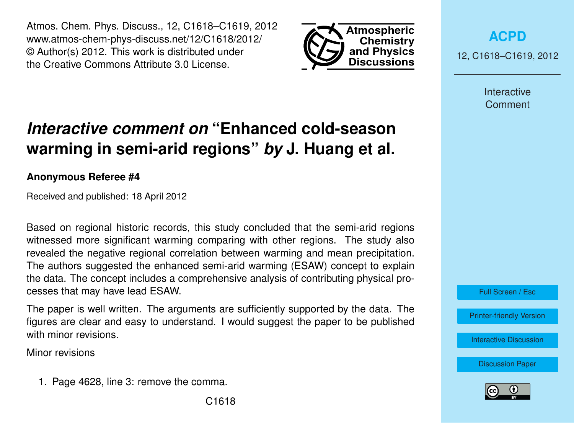Atmos. Chem. Phys. Discuss., 12, C1618–C1619, 2012 www.atmos-chem-phys-discuss.net/12/C1618/2012/ © Author(s) 2012. This work is distributed under the Creative Commons Attribute 3.0 License.



**[ACPD](http://www.atmos-chem-phys-discuss.net)**

12, C1618–C1619, 2012

Interactive **Comment** 

## *Interactive comment on* **"Enhanced cold-season warming in semi-arid regions"** *by* **J. Huang et al.**

## **Anonymous Referee #4**

Received and published: 18 April 2012

Based on regional historic records, this study concluded that the semi-arid regions witnessed more significant warming comparing with other regions. The study also revealed the negative regional correlation between warming and mean precipitation. The authors suggested the enhanced semi-arid warming (ESAW) concept to explain the data. The concept includes a comprehensive analysis of contributing physical processes that may have lead ESAW.

The paper is well written. The arguments are sufficiently supported by the data. The figures are clear and easy to understand. I would suggest the paper to be published with minor revisions.

Minor revisions

1. Page 4628, line 3: remove the comma.



Full Screen / Esc